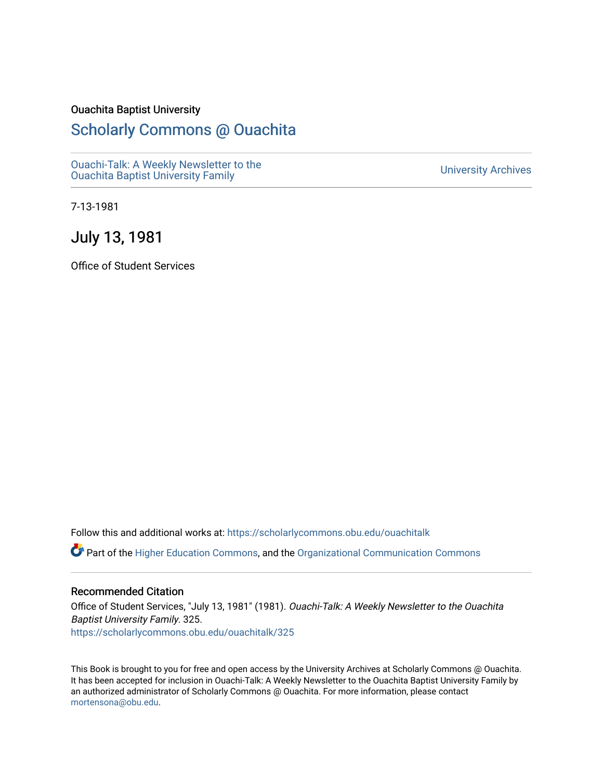#### Ouachita Baptist University

### [Scholarly Commons @ Ouachita](https://scholarlycommons.obu.edu/)

[Ouachi-Talk: A Weekly Newsletter to the](https://scholarlycommons.obu.edu/ouachitalk)  Ouachi-Taik. A weekly Newsletter to the community of the University Archives<br>[Ouachita Baptist University Family](https://scholarlycommons.obu.edu/ouachitalk)

7-13-1981

July 13, 1981

Office of Student Services

Follow this and additional works at: [https://scholarlycommons.obu.edu/ouachitalk](https://scholarlycommons.obu.edu/ouachitalk?utm_source=scholarlycommons.obu.edu%2Fouachitalk%2F325&utm_medium=PDF&utm_campaign=PDFCoverPages) 

Part of the [Higher Education Commons,](http://network.bepress.com/hgg/discipline/1245?utm_source=scholarlycommons.obu.edu%2Fouachitalk%2F325&utm_medium=PDF&utm_campaign=PDFCoverPages) and the [Organizational Communication Commons](http://network.bepress.com/hgg/discipline/335?utm_source=scholarlycommons.obu.edu%2Fouachitalk%2F325&utm_medium=PDF&utm_campaign=PDFCoverPages)

#### Recommended Citation

Office of Student Services, "July 13, 1981" (1981). Ouachi-Talk: A Weekly Newsletter to the Ouachita Baptist University Family. 325. [https://scholarlycommons.obu.edu/ouachitalk/325](https://scholarlycommons.obu.edu/ouachitalk/325?utm_source=scholarlycommons.obu.edu%2Fouachitalk%2F325&utm_medium=PDF&utm_campaign=PDFCoverPages) 

This Book is brought to you for free and open access by the University Archives at Scholarly Commons @ Ouachita. It has been accepted for inclusion in Ouachi-Talk: A Weekly Newsletter to the Ouachita Baptist University Family by an authorized administrator of Scholarly Commons @ Ouachita. For more information, please contact [mortensona@obu.edu.](mailto:mortensona@obu.edu)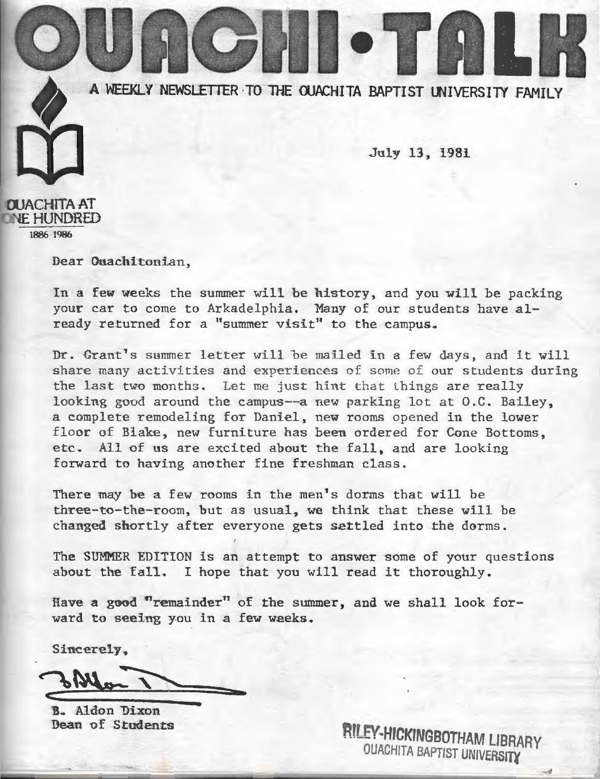

July 13, 1981



Dear Ouachitonian,

In a few weeks the summer will be history, and you will be packing your car to come to Arkadelphia. Many of our students have already returned for a "summer visit" to the campus.

Dr. Grant's summer letter will be mailed in a few days, and it will share many activities and experiences of some of our students during the last two months. Let me just hint that things are really looking good around the campus--a new parking lot at O.C. Bailey, a complete remodeling for Daniel, new rooms opened in the lower floor of Blake, new furniture has been ordered for Cone Bottoms , <sup>e</sup> tc, All of us are excited about the fall, and are looking forward to having another fine freshman class .

There may be a few rooms in the men's dorms that will be three-to-the-room, but as usual, we think that these will be changed shortly after everyone gets settled into the dorms .

The SUMMER EDTTION is an attempt to answer some of your questions about the fall. I hope that you will read it thoroughly.

Have a good "remainder" of the summer, and we shall look forward to seeing you in a few weeks.

Sincerely,

**B.** Aldon Dixon Dean of Students

**RILEY-HICKINGBOTHAM LIBRARY** OUACHITA BAPTIST UNIVERSITY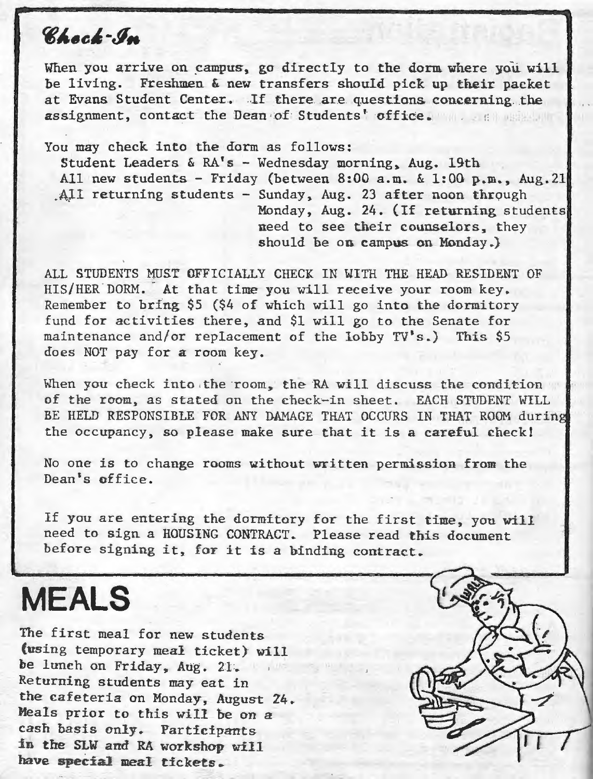### Chock-In

When you arrive on campus, go directly to the dorm where you will be living. Freshmen & new transfers should pick up their packet at Evans Student Center. If there are questions concerning the assignment, contact the Dean of Students' office.

You may check into the dorm as follows: Student Leaders & RA's- Wednesday morning, Aug. 19th All new students - Friday (between 8:00 a.m.  $\&$  1:00 p.m., Aug.21 All returning students - Sunday, Aug. 23 after noon through . Monday, Aug. 24. (If returning students need to see their counselors, they should be on campus on Monday.)

ALL STUDENTS MUST OFFICIALLY CHECK IN WITH THE HEAD RESIDENT OF HIS/HER DORM. · At that time you will receive your room key. Remember to bring \$5 (\$4 of which will go into the dormitory fund for activities there, and \$1 will go to the Senate for maintenance and/or replacement of the lobby TV's.) This \$5 does NOT pay for a room key.

When you check into the room, the RA will discuss the condition of the room, as stated on the check-in sheet. EACH STUDENT WILL BE HELD RESPONSIBLE FOR ANY DAMAGE THAT OCCURS IN THAT ROOM during the occupancy, so please make sure that it is a careful check!

No one is to change rooms without written permission from the Dean's office.

If you are entering the dormitory for the first time, you wiLl need to sign a HOUSING CONTRACT. Please read this document before signing it, for it is a binding contract.

## **MEALS**

The first meal for new students (using temporary meal ticket) will be lunch on Friday, Aug. 21. Returning students may eat in the cafeteria on Monday, August Z4. Meals prior to this will be on a cash basis only. Participants *in* tne SLW and RA workshop will have special meal tickets.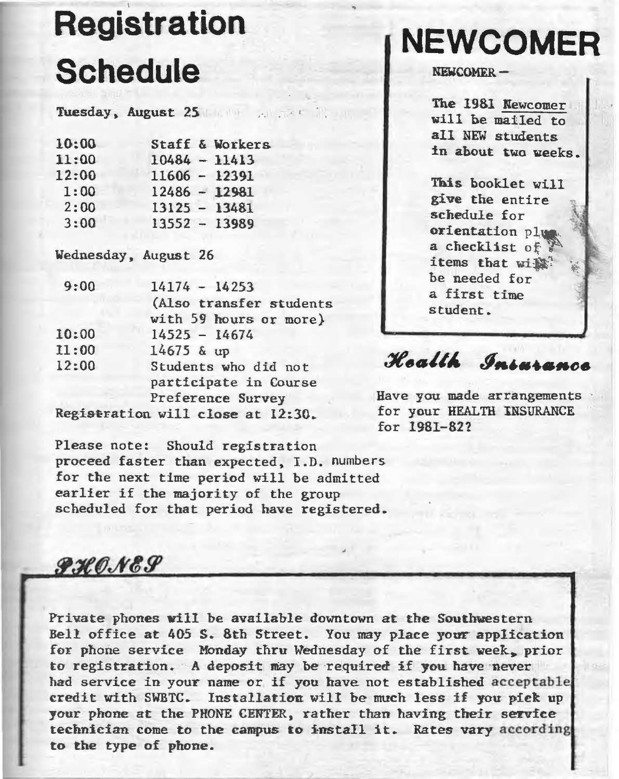# **Registration Schedule**

Tuesday, August 25.

| Staff & Workers |
|-----------------|
| $10484 - 11413$ |
| $11606 - 12391$ |
| $12486 - 12981$ |
| $13125 - 13481$ |
| $13552 - 13989$ |
|                 |

Wednesday, August 26

| 9:00  | $14174 - 14253$         |
|-------|-------------------------|
|       | (Also transfer students |
|       | with 59 hours or more)  |
| 10:00 | $14525 - 14674$         |
| 11:00 | 14675 & up              |
| 12:00 | Students who did not    |
|       | participate in Course   |
|       | Preference Survey       |
|       |                         |

Registration will close at  $12:30.$ 

Please note: Should registration proceed faster than expected, I.D. numbers for the next time period will be admitted earlier if the majority of the group scheduled for that period have registered.

## **NEWCOMER**

NEWCOMER-

The 1981 Newcomer will he mailed to all NEW students in ahout two weeks.

This booklet will give the entire schedule for orientation plw a checklist of items that wi $\mathbb{R}$ be needed for a. first time student.

Health International

Have you made arrangements for your HEALTH INSURANCE for 1981-8.27

 $\mathcal{GHOM}$ 

Private phones will be available downtown at the Southwestern Bell office at 405 S. 8th Street. You may place your application for phone service Monday thru Wednesday of the first week. prior to registration. A deposit may be required if you have never had service in your name or if you have not established acceptable credit with SWBTC. Installation will be much less if you pick up your phone at the PHONE CENTER, rather than having their service technician come to the campus to install it. Rates vary according to the type of phone.